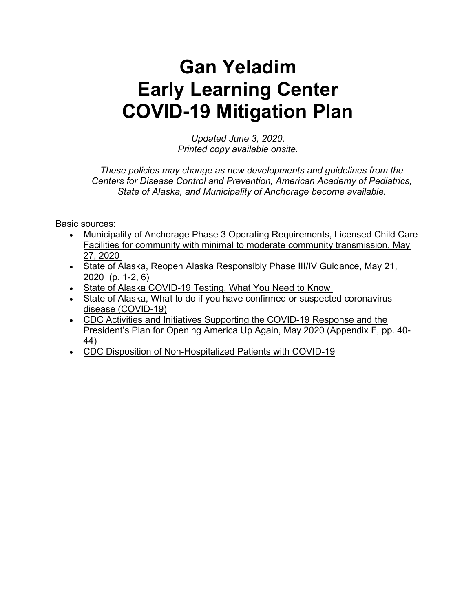# Gan Yeladim Early Learning Center COVID-19 Mitigation Plan

Updated June 3, 2020. Printed copy available onsite.

These policies may change as new developments and guidelines from the Centers for Disease Control and Prevention, American Academy of Pediatrics, State of Alaska, and Municipality of Anchorage become available.

Basic sources:

- Municipality of Anchorage Phase 3 Operating Requirements, Licensed Child Care Facilities for community with minimal to moderate community transmission, May 27, 2020
- State of Alaska, Reopen Alaska Responsibly Phase III/IV Guidance, May 21, 2020 (p. 1-2, 6)
- State of Alaska COVID-19 Testing, What You Need to Know
- State of Alaska, What to do if you have confirmed or suspected coronavirus disease (COVID-19)
- CDC Activities and Initiatives Supporting the COVID-19 Response and the President's Plan for Opening America Up Again, May 2020 (Appendix F, pp. 40- 44)
- CDC Disposition of Non-Hospitalized Patients with COVID-19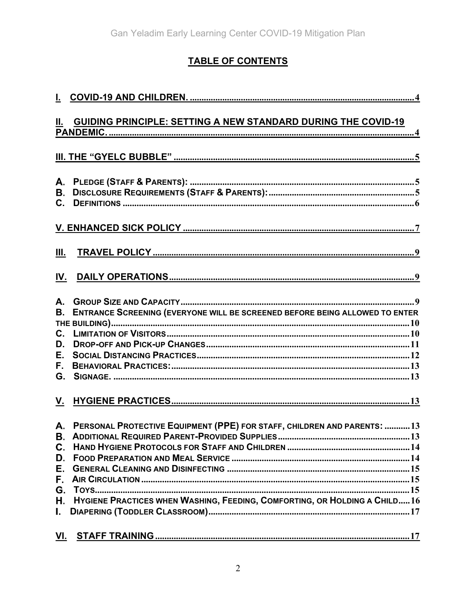# **TABLE OF CONTENTS**

| Ш.                                 | GUIDING PRINCIPLE: SETTING A NEW STANDARD DURING THE COVID-19                                                                                              |
|------------------------------------|------------------------------------------------------------------------------------------------------------------------------------------------------------|
|                                    |                                                                                                                                                            |
| А.<br><b>B.</b><br>$C_{-}$         |                                                                                                                                                            |
|                                    |                                                                                                                                                            |
| Ш.                                 |                                                                                                                                                            |
| IV.                                |                                                                                                                                                            |
| А.<br><b>B.</b><br>D.<br>Е.<br>F., | ENTRANCE SCREENING (EVERYONE WILL BE SCREENED BEFORE BEING ALLOWED TO ENTER                                                                                |
|                                    |                                                                                                                                                            |
| D.<br>Е.                           | A. PERSONAL PROTECTIVE EQUIPMENT (PPE) FOR STAFF, CHILDREN AND PARENTS: 13<br>H. HYGIENE PRACTICES WHEN WASHING, FEEDING, COMFORTING, OR HOLDING A CHILD16 |
|                                    |                                                                                                                                                            |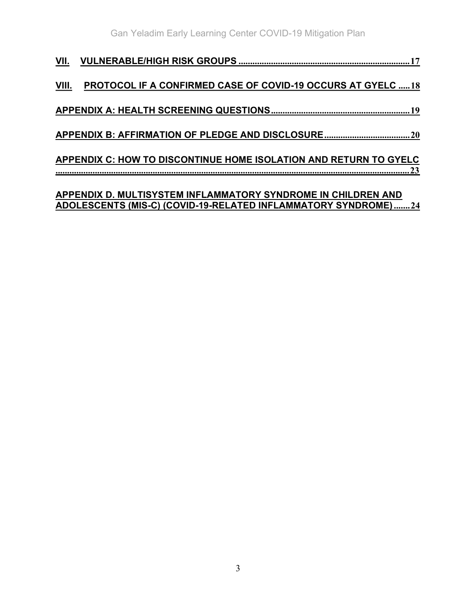| VIII. | <b>PROTOCOL IF A CONFIRMED CASE OF COVID-19 OCCURS AT GYELC 18</b>       |
|-------|--------------------------------------------------------------------------|
|       |                                                                          |
|       |                                                                          |
|       | APPENDIX C: HOW TO DISCONTINUE HOME ISOLATION AND RETURN TO GYELC<br>.23 |
|       | $\overline{1}$                                                           |

#### APPENDIX D. MULTISYSTEM INFLAMMATORY SYNDROME IN CHILDREN AND ADOLESCENTS (MIS-C) (COVID-19-RELATED INFLAMMATORY SYNDROME) ....... 24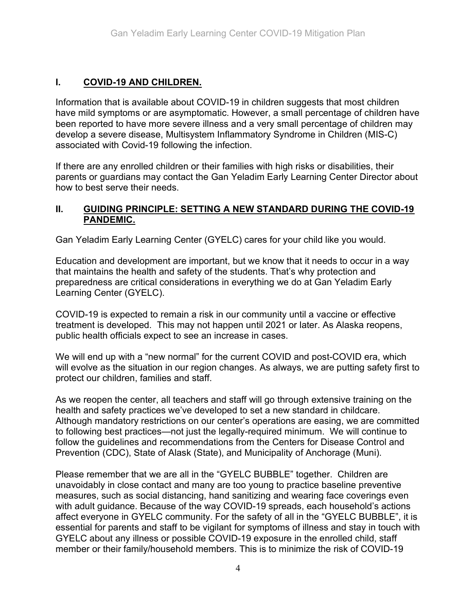# I. COVID-19 AND CHILDREN.

Information that is available about COVID-19 in children suggests that most children have mild symptoms or are asymptomatic. However, a small percentage of children have been reported to have more severe illness and a very small percentage of children may develop a severe disease, Multisystem Inflammatory Syndrome in Children (MIS-C) associated with Covid-19 following the infection.

If there are any enrolled children or their families with high risks or disabilities, their parents or guardians may contact the Gan Yeladim Early Learning Center Director about how to best serve their needs.

#### II. GUIDING PRINCIPLE: SETTING A NEW STANDARD DURING THE COVID-19 PANDEMIC.

Gan Yeladim Early Learning Center (GYELC) cares for your child like you would.

Education and development are important, but we know that it needs to occur in a way that maintains the health and safety of the students. That's why protection and preparedness are critical considerations in everything we do at Gan Yeladim Early Learning Center (GYELC).

COVID-19 is expected to remain a risk in our community until a vaccine or effective treatment is developed. This may not happen until 2021 or later. As Alaska reopens, public health officials expect to see an increase in cases.

We will end up with a "new normal" for the current COVID and post-COVID era, which will evolve as the situation in our region changes. As always, we are putting safety first to protect our children, families and staff.

As we reopen the center, all teachers and staff will go through extensive training on the health and safety practices we've developed to set a new standard in childcare. Although mandatory restrictions on our center's operations are easing, we are committed to following best practices—not just the legally-required minimum. We will continue to follow the guidelines and recommendations from the Centers for Disease Control and Prevention (CDC), State of Alask (State), and Municipality of Anchorage (Muni).

Please remember that we are all in the "GYELC BUBBLE" together. Children are unavoidably in close contact and many are too young to practice baseline preventive measures, such as social distancing, hand sanitizing and wearing face coverings even with adult guidance. Because of the way COVID-19 spreads, each household's actions affect everyone in GYELC community. For the safety of all in the "GYELC BUBBLE", it is essential for parents and staff to be vigilant for symptoms of illness and stay in touch with GYELC about any illness or possible COVID-19 exposure in the enrolled child, staff member or their family/household members. This is to minimize the risk of COVID-19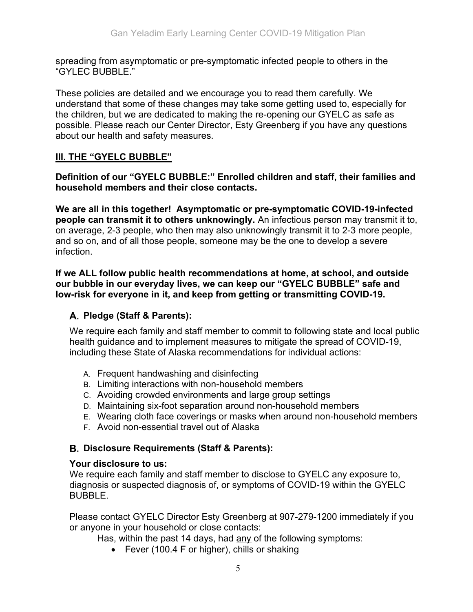spreading from asymptomatic or pre-symptomatic infected people to others in the "GYLEC BUBBLE."

These policies are detailed and we encourage you to read them carefully. We understand that some of these changes may take some getting used to, especially for the children, but we are dedicated to making the re-opening our GYELC as safe as possible. Please reach our Center Director, Esty Greenberg if you have any questions about our health and safety measures.

#### III. THE "GYELC BUBBLE"

Definition of our "GYELC BUBBLE:" Enrolled children and staff, their families and household members and their close contacts.

We are all in this together! Asymptomatic or pre-symptomatic COVID-19-infected people can transmit it to others unknowingly. An infectious person may transmit it to, on average, 2-3 people, who then may also unknowingly transmit it to 2-3 more people, and so on, and of all those people, someone may be the one to develop a severe infection.

If we ALL follow public health recommendations at home, at school, and outside our bubble in our everyday lives, we can keep our "GYELC BUBBLE" safe and low-risk for everyone in it, and keep from getting or transmitting COVID-19.

#### Pledge (Staff & Parents):

We require each family and staff member to commit to following state and local public health guidance and to implement measures to mitigate the spread of COVID-19, including these State of Alaska recommendations for individual actions:

- A. Frequent handwashing and disinfecting
- B. Limiting interactions with non-household members
- C. Avoiding crowded environments and large group settings
- D. Maintaining six-foot separation around non-household members
- E. Wearing cloth face coverings or masks when around non-household members
- F. Avoid non-essential travel out of Alaska

#### Disclosure Requirements (Staff & Parents):

#### Your disclosure to us:

We require each family and staff member to disclose to GYELC any exposure to, diagnosis or suspected diagnosis of, or symptoms of COVID-19 within the GYELC BUBBLE.

Please contact GYELC Director Esty Greenberg at 907-279-1200 immediately if you or anyone in your household or close contacts:

Has, within the past 14 days, had any of the following symptoms:

• Fever (100.4 F or higher), chills or shaking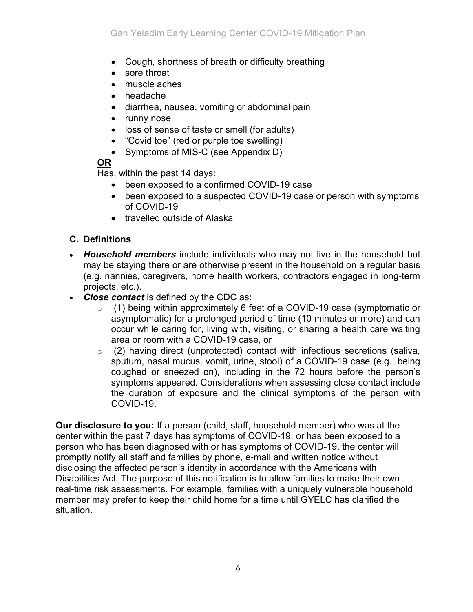- Cough, shortness of breath or difficulty breathing
- sore throat
- muscle aches
- headache
- diarrhea, nausea, vomiting or abdominal pain
- runny nose
- loss of sense of taste or smell (for adults)
- "Covid toe" (red or purple toe swelling)
- Symptoms of MIS-C (see Appendix D)

# OR

Has, within the past 14 days:

- been exposed to a confirmed COVID-19 case
- been exposed to a suspected COVID-19 case or person with symptoms of COVID-19
- travelled outside of Alaska

## C. Definitions

- Household members include individuals who may not live in the household but may be staying there or are otherwise present in the household on a regular basis (e.g. nannies, caregivers, home health workers, contractors engaged in long-term projects, etc.).
- Close contact is defined by the CDC as:
	- o (1) being within approximately 6 feet of a COVID-19 case (symptomatic or asymptomatic) for a prolonged period of time (10 minutes or more) and can occur while caring for, living with, visiting, or sharing a health care waiting area or room with a COVID-19 case, or
	- $\circ$  (2) having direct (unprotected) contact with infectious secretions (saliva, sputum, nasal mucus, vomit, urine, stool) of a COVID-19 case (e.g., being coughed or sneezed on), including in the 72 hours before the person's symptoms appeared. Considerations when assessing close contact include the duration of exposure and the clinical symptoms of the person with COVID-19.

Our disclosure to you: If a person (child, staff, household member) who was at the center within the past 7 days has symptoms of COVID-19, or has been exposed to a person who has been diagnosed with or has symptoms of COVID-19, the center will promptly notify all staff and families by phone, e-mail and written notice without disclosing the affected person's identity in accordance with the Americans with Disabilities Act. The purpose of this notification is to allow families to make their own real-time risk assessments. For example, families with a uniquely vulnerable household member may prefer to keep their child home for a time until GYELC has clarified the situation.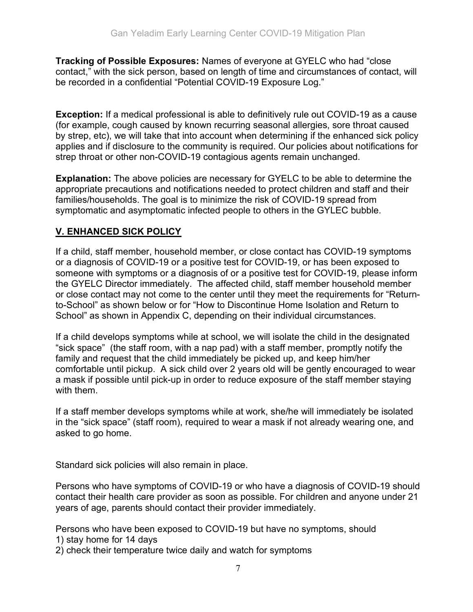Tracking of Possible Exposures: Names of everyone at GYELC who had "close contact," with the sick person, based on length of time and circumstances of contact, will be recorded in a confidential "Potential COVID-19 Exposure Log."

Exception: If a medical professional is able to definitively rule out COVID-19 as a cause (for example, cough caused by known recurring seasonal allergies, sore throat caused by strep, etc), we will take that into account when determining if the enhanced sick policy applies and if disclosure to the community is required. Our policies about notifications for strep throat or other non-COVID-19 contagious agents remain unchanged.

Explanation: The above policies are necessary for GYELC to be able to determine the appropriate precautions and notifications needed to protect children and staff and their families/households. The goal is to minimize the risk of COVID-19 spread from symptomatic and asymptomatic infected people to others in the GYLEC bubble.

## V. ENHANCED SICK POLICY

If a child, staff member, household member, or close contact has COVID-19 symptoms or a diagnosis of COVID-19 or a positive test for COVID-19, or has been exposed to someone with symptoms or a diagnosis of or a positive test for COVID-19, please inform the GYELC Director immediately. The affected child, staff member household member or close contact may not come to the center until they meet the requirements for "Returnto-School" as shown below or for "How to Discontinue Home Isolation and Return to School" as shown in Appendix C, depending on their individual circumstances.

If a child develops symptoms while at school, we will isolate the child in the designated "sick space" (the staff room, with a nap pad) with a staff member, promptly notify the family and request that the child immediately be picked up, and keep him/her comfortable until pickup. A sick child over 2 years old will be gently encouraged to wear a mask if possible until pick-up in order to reduce exposure of the staff member staying with them.

If a staff member develops symptoms while at work, she/he will immediately be isolated in the "sick space" (staff room), required to wear a mask if not already wearing one, and asked to go home.

Standard sick policies will also remain in place.

Persons who have symptoms of COVID-19 or who have a diagnosis of COVID-19 should contact their health care provider as soon as possible. For children and anyone under 21 years of age, parents should contact their provider immediately.

Persons who have been exposed to COVID-19 but have no symptoms, should

- 1) stay home for 14 days
- 2) check their temperature twice daily and watch for symptoms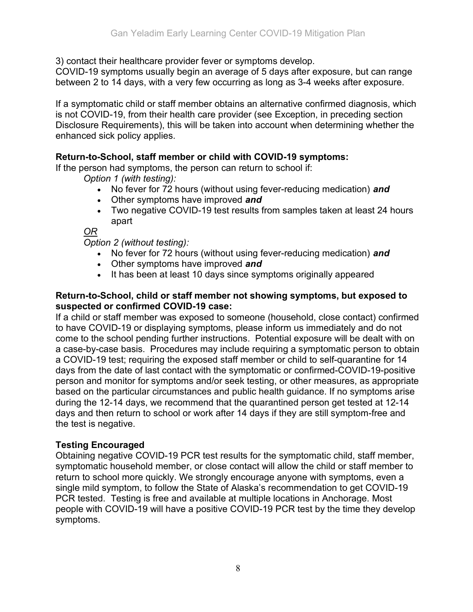3) contact their healthcare provider fever or symptoms develop.

COVID-19 symptoms usually begin an average of 5 days after exposure, but can range between 2 to 14 days, with a very few occurring as long as 3-4 weeks after exposure.

If a symptomatic child or staff member obtains an alternative confirmed diagnosis, which is not COVID-19, from their health care provider (see Exception, in preceding section Disclosure Requirements), this will be taken into account when determining whether the enhanced sick policy applies.

#### Return-to-School, staff member or child with COVID-19 symptoms:

If the person had symptoms, the person can return to school if:

Option 1 (with testing):

- No fever for 72 hours (without using fever-reducing medication) and
- Other symptoms have improved and
- Two negative COVID-19 test results from samples taken at least 24 hours apart

OR

Option 2 (without testing):

- No fever for 72 hours (without using fever-reducing medication) and
- Other symptoms have improved and
- It has been at least 10 days since symptoms originally appeared

#### Return-to-School, child or staff member not showing symptoms, but exposed to suspected or confirmed COVID-19 case:

If a child or staff member was exposed to someone (household, close contact) confirmed to have COVID-19 or displaying symptoms, please inform us immediately and do not come to the school pending further instructions. Potential exposure will be dealt with on a case-by-case basis. Procedures may include requiring a symptomatic person to obtain a COVID-19 test; requiring the exposed staff member or child to self-quarantine for 14 days from the date of last contact with the symptomatic or confirmed-COVID-19-positive person and monitor for symptoms and/or seek testing, or other measures, as appropriate based on the particular circumstances and public health guidance. If no symptoms arise during the 12-14 days, we recommend that the quarantined person get tested at 12-14 days and then return to school or work after 14 days if they are still symptom-free and the test is negative.

#### Testing Encouraged

Obtaining negative COVID-19 PCR test results for the symptomatic child, staff member, symptomatic household member, or close contact will allow the child or staff member to return to school more quickly. We strongly encourage anyone with symptoms, even a single mild symptom, to follow the State of Alaska's recommendation to get COVID-19 PCR tested. Testing is free and available at multiple locations in Anchorage. Most people with COVID-19 will have a positive COVID-19 PCR test by the time they develop symptoms.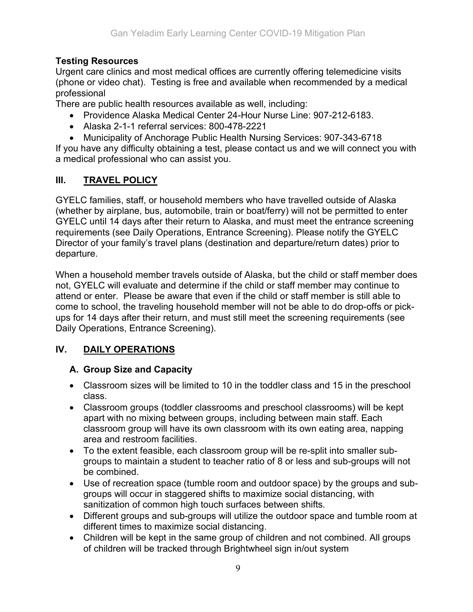#### Testing Resources

Urgent care clinics and most medical offices are currently offering telemedicine visits (phone or video chat). Testing is free and available when recommended by a medical professional

There are public health resources available as well, including:

- Providence Alaska Medical Center 24-Hour Nurse Line: 907-212-6183.
- Alaska 2-1-1 referral services: 800-478-2221
- Municipality of Anchorage Public Health Nursing Services: 907-343-6718

If you have any difficulty obtaining a test, please contact us and we will connect you with a medical professional who can assist you.

#### III. TRAVEL POLICY

GYELC families, staff, or household members who have travelled outside of Alaska (whether by airplane, bus, automobile, train or boat/ferry) will not be permitted to enter GYELC until 14 days after their return to Alaska, and must meet the entrance screening requirements (see Daily Operations, Entrance Screening). Please notify the GYELC Director of your family's travel plans (destination and departure/return dates) prior to departure.

When a household member travels outside of Alaska, but the child or staff member does not, GYELC will evaluate and determine if the child or staff member may continue to attend or enter. Please be aware that even if the child or staff member is still able to come to school, the traveling household member will not be able to do drop-offs or pickups for 14 days after their return, and must still meet the screening requirements (see Daily Operations, Entrance Screening).

# IV. DAILY OPERATIONS

#### A. Group Size and Capacity

- Classroom sizes will be limited to 10 in the toddler class and 15 in the preschool class.
- Classroom groups (toddler classrooms and preschool classrooms) will be kept apart with no mixing between groups, including between main staff. Each classroom group will have its own classroom with its own eating area, napping area and restroom facilities.
- To the extent feasible, each classroom group will be re-split into smaller subgroups to maintain a student to teacher ratio of 8 or less and sub-groups will not be combined.
- Use of recreation space (tumble room and outdoor space) by the groups and subgroups will occur in staggered shifts to maximize social distancing, with sanitization of common high touch surfaces between shifts.
- Different groups and sub-groups will utilize the outdoor space and tumble room at different times to maximize social distancing.
- Children will be kept in the same group of children and not combined. All groups of children will be tracked through Brightwheel sign in/out system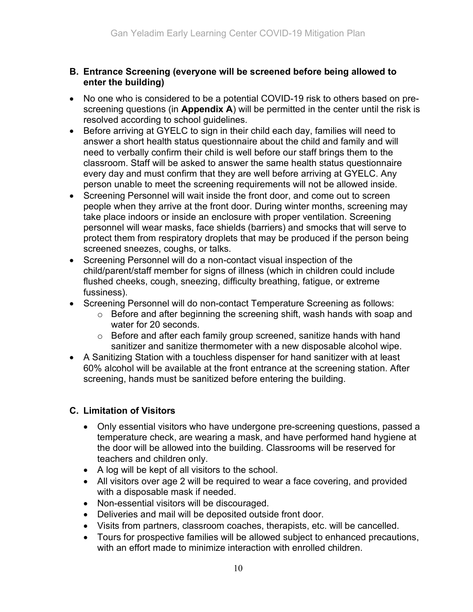#### B. Entrance Screening (everyone will be screened before being allowed to enter the building)

- No one who is considered to be a potential COVID-19 risk to others based on prescreening questions (in Appendix A) will be permitted in the center until the risk is resolved according to school guidelines.
- Before arriving at GYELC to sign in their child each day, families will need to answer a short health status questionnaire about the child and family and will need to verbally confirm their child is well before our staff brings them to the classroom. Staff will be asked to answer the same health status questionnaire every day and must confirm that they are well before arriving at GYELC. Any person unable to meet the screening requirements will not be allowed inside.
- Screening Personnel will wait inside the front door, and come out to screen people when they arrive at the front door. During winter months, screening may take place indoors or inside an enclosure with proper ventilation. Screening personnel will wear masks, face shields (barriers) and smocks that will serve to protect them from respiratory droplets that may be produced if the person being screened sneezes, coughs, or talks.
- Screening Personnel will do a non-contact visual inspection of the child/parent/staff member for signs of illness (which in children could include flushed cheeks, cough, sneezing, difficulty breathing, fatigue, or extreme fussiness).
- Screening Personnel will do non-contact Temperature Screening as follows:
	- o Before and after beginning the screening shift, wash hands with soap and water for 20 seconds.
	- o Before and after each family group screened, sanitize hands with hand sanitizer and sanitize thermometer with a new disposable alcohol wipe.
- A Sanitizing Station with a touchless dispenser for hand sanitizer with at least 60% alcohol will be available at the front entrance at the screening station. After screening, hands must be sanitized before entering the building.

# C. Limitation of Visitors

- Only essential visitors who have undergone pre-screening questions, passed a temperature check, are wearing a mask, and have performed hand hygiene at the door will be allowed into the building. Classrooms will be reserved for teachers and children only.
- A log will be kept of all visitors to the school.
- All visitors over age 2 will be required to wear a face covering, and provided with a disposable mask if needed.
- Non-essential visitors will be discouraged.
- Deliveries and mail will be deposited outside front door.
- Visits from partners, classroom coaches, therapists, etc. will be cancelled.
- Tours for prospective families will be allowed subject to enhanced precautions, with an effort made to minimize interaction with enrolled children.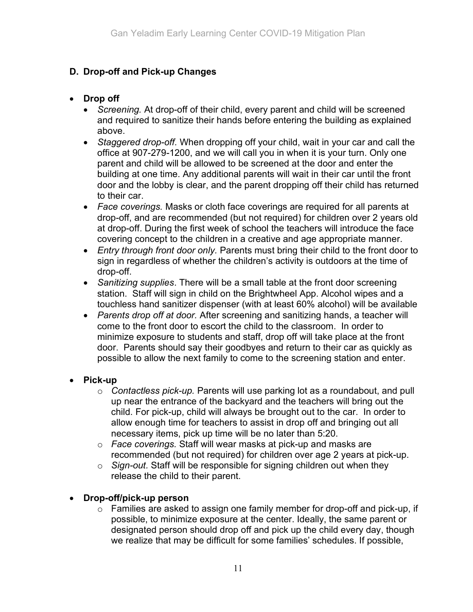# D. Drop-off and Pick-up Changes

## Drop off

- Screening. At drop-off of their child, every parent and child will be screened and required to sanitize their hands before entering the building as explained above.
- Staggered drop-off. When dropping off your child, wait in your car and call the office at 907-279-1200, and we will call you in when it is your turn. Only one parent and child will be allowed to be screened at the door and enter the building at one time. Any additional parents will wait in their car until the front door and the lobby is clear, and the parent dropping off their child has returned to their car.
- Face coverings. Masks or cloth face coverings are required for all parents at drop-off, and are recommended (but not required) for children over 2 years old at drop-off. During the first week of school the teachers will introduce the face covering concept to the children in a creative and age appropriate manner.
- Entry through front door only. Parents must bring their child to the front door to sign in regardless of whether the children's activity is outdoors at the time of drop-off.
- Sanitizing supplies. There will be a small table at the front door screening station. Staff will sign in child on the Brightwheel App. Alcohol wipes and a touchless hand sanitizer dispenser (with at least 60% alcohol) will be available
- Parents drop off at door. After screening and sanitizing hands, a teacher will come to the front door to escort the child to the classroom. In order to minimize exposure to students and staff, drop off will take place at the front door. Parents should say their goodbyes and return to their car as quickly as possible to allow the next family to come to the screening station and enter.

## • Pick-up

- $\circ$  Contactless pick-up. Parents will use parking lot as a roundabout, and pull up near the entrance of the backyard and the teachers will bring out the child. For pick-up, child will always be brought out to the car. In order to allow enough time for teachers to assist in drop off and bringing out all necessary items, pick up time will be no later than 5:20.
- $\circ$  Face coverings. Staff will wear masks at pick-up and masks are recommended (but not required) for children over age 2 years at pick-up.
- $\circ$  Sign-out. Staff will be responsible for signing children out when they release the child to their parent.

## • Drop-off/pick-up person

o Families are asked to assign one family member for drop-off and pick-up, if possible, to minimize exposure at the center. Ideally, the same parent or designated person should drop off and pick up the child every day, though we realize that may be difficult for some families' schedules. If possible,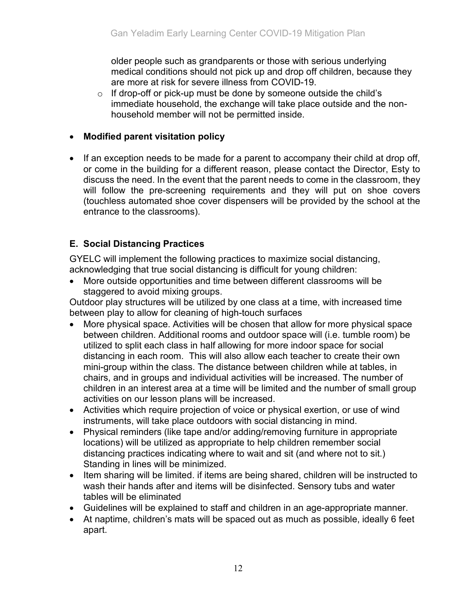older people such as grandparents or those with serious underlying medical conditions should not pick up and drop off children, because they are more at risk for severe illness from COVID-19.

 $\circ$  If drop-off or pick-up must be done by someone outside the child's immediate household, the exchange will take place outside and the nonhousehold member will not be permitted inside.

#### Modified parent visitation policy

• If an exception needs to be made for a parent to accompany their child at drop off, or come in the building for a different reason, please contact the Director, Esty to discuss the need. In the event that the parent needs to come in the classroom, they will follow the pre-screening requirements and they will put on shoe covers (touchless automated shoe cover dispensers will be provided by the school at the entrance to the classrooms).

## E. Social Distancing Practices

GYELC will implement the following practices to maximize social distancing, acknowledging that true social distancing is difficult for young children:

 More outside opportunities and time between different classrooms will be staggered to avoid mixing groups.

Outdoor play structures will be utilized by one class at a time, with increased time between play to allow for cleaning of high-touch surfaces

- More physical space. Activities will be chosen that allow for more physical space between children. Additional rooms and outdoor space will (i.e. tumble room) be utilized to split each class in half allowing for more indoor space for social distancing in each room. This will also allow each teacher to create their own mini-group within the class. The distance between children while at tables, in chairs, and in groups and individual activities will be increased. The number of children in an interest area at a time will be limited and the number of small group activities on our lesson plans will be increased.
- Activities which require projection of voice or physical exertion, or use of wind instruments, will take place outdoors with social distancing in mind.
- Physical reminders (like tape and/or adding/removing furniture in appropriate locations) will be utilized as appropriate to help children remember social distancing practices indicating where to wait and sit (and where not to sit.) Standing in lines will be minimized.
- Item sharing will be limited. if items are being shared, children will be instructed to wash their hands after and items will be disinfected. Sensory tubs and water tables will be eliminated
- Guidelines will be explained to staff and children in an age-appropriate manner.
- At naptime, children's mats will be spaced out as much as possible, ideally 6 feet apart.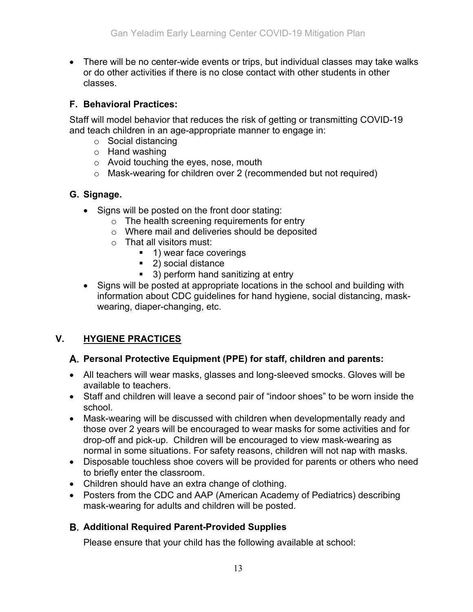There will be no center-wide events or trips, but individual classes may take walks or do other activities if there is no close contact with other students in other classes.

## F. Behavioral Practices:

Staff will model behavior that reduces the risk of getting or transmitting COVID-19 and teach children in an age-appropriate manner to engage in:

- o Social distancing
- o Hand washing
- o Avoid touching the eyes, nose, mouth
- o Mask-wearing for children over 2 (recommended but not required)

#### G. Signage.

- Signs will be posted on the front door stating:
	- o The health screening requirements for entry
	- o Where mail and deliveries should be deposited
	- o That all visitors must:
		- 1) wear face coverings
			- 2) social distance
			- 3) perform hand sanitizing at entry
- Signs will be posted at appropriate locations in the school and building with information about CDC guidelines for hand hygiene, social distancing, maskwearing, diaper-changing, etc.

## V. HYGIENE PRACTICES

#### A. Personal Protective Equipment (PPE) for staff, children and parents:

- All teachers will wear masks, glasses and long-sleeved smocks. Gloves will be available to teachers.
- Staff and children will leave a second pair of "indoor shoes" to be worn inside the school.
- Mask-wearing will be discussed with children when developmentally ready and those over 2 years will be encouraged to wear masks for some activities and for drop-off and pick-up. Children will be encouraged to view mask-wearing as normal in some situations. For safety reasons, children will not nap with masks.
- Disposable touchless shoe covers will be provided for parents or others who need to briefly enter the classroom.
- Children should have an extra change of clothing.
- Posters from the CDC and AAP (American Academy of Pediatrics) describing mask-wearing for adults and children will be posted.

## **B. Additional Required Parent-Provided Supplies**

Please ensure that your child has the following available at school: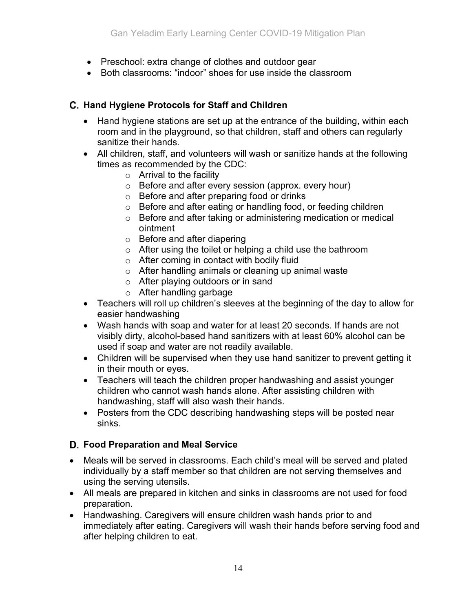- Preschool: extra change of clothes and outdoor gear
- Both classrooms: "indoor" shoes for use inside the classroom

# C. Hand Hygiene Protocols for Staff and Children

- Hand hygiene stations are set up at the entrance of the building, within each room and in the playground, so that children, staff and others can regularly sanitize their hands.
- All children, staff, and volunteers will wash or sanitize hands at the following times as recommended by the CDC:
	- $\circ$  Arrival to the facility
	- o Before and after every session (approx. every hour)
	- o Before and after preparing food or drinks
	- o Before and after eating or handling food, or feeding children
	- o Before and after taking or administering medication or medical ointment
	- o Before and after diapering
	- o After using the toilet or helping a child use the bathroom
	- $\circ$  After coming in contact with bodily fluid
	- o After handling animals or cleaning up animal waste
	- o After playing outdoors or in sand
	- o After handling garbage
- Teachers will roll up children's sleeves at the beginning of the day to allow for easier handwashing
- Wash hands with soap and water for at least 20 seconds. If hands are not visibly dirty, alcohol-based hand sanitizers with at least 60% alcohol can be used if soap and water are not readily available.
- Children will be supervised when they use hand sanitizer to prevent getting it in their mouth or eyes.
- Teachers will teach the children proper handwashing and assist younger children who cannot wash hands alone. After assisting children with handwashing, staff will also wash their hands.
- Posters from the CDC describing handwashing steps will be posted near sinks.

## D. Food Preparation and Meal Service

- Meals will be served in classrooms. Each child's meal will be served and plated individually by a staff member so that children are not serving themselves and using the serving utensils.
- All meals are prepared in kitchen and sinks in classrooms are not used for food preparation.
- Handwashing. Caregivers will ensure children wash hands prior to and immediately after eating. Caregivers will wash their hands before serving food and after helping children to eat.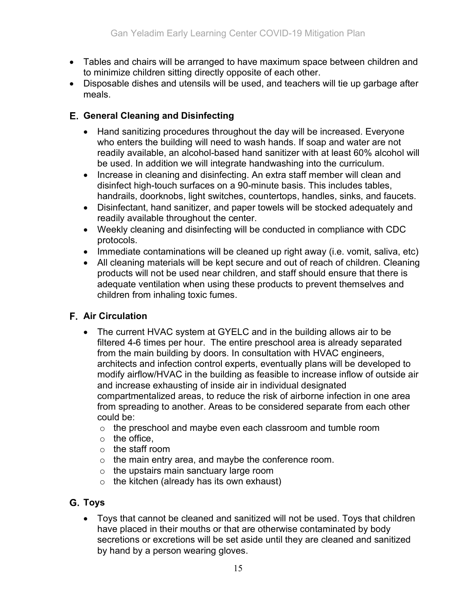- Tables and chairs will be arranged to have maximum space between children and to minimize children sitting directly opposite of each other.
- Disposable dishes and utensils will be used, and teachers will tie up garbage after meals.

## General Cleaning and Disinfecting

- Hand sanitizing procedures throughout the day will be increased. Everyone who enters the building will need to wash hands. If soap and water are not readily available, an alcohol-based hand sanitizer with at least 60% alcohol will be used. In addition we will integrate handwashing into the curriculum.
- Increase in cleaning and disinfecting. An extra staff member will clean and disinfect high-touch surfaces on a 90-minute basis. This includes tables, handrails, doorknobs, light switches, countertops, handles, sinks, and faucets.
- Disinfectant, hand sanitizer, and paper towels will be stocked adequately and readily available throughout the center.
- Weekly cleaning and disinfecting will be conducted in compliance with CDC protocols.
- Immediate contaminations will be cleaned up right away (i.e. vomit, saliva, etc)
- All cleaning materials will be kept secure and out of reach of children. Cleaning products will not be used near children, and staff should ensure that there is adequate ventilation when using these products to prevent themselves and children from inhaling toxic fumes.

## **F.** Air Circulation

- The current HVAC system at GYELC and in the building allows air to be filtered 4-6 times per hour. The entire preschool area is already separated from the main building by doors. In consultation with HVAC engineers, architects and infection control experts, eventually plans will be developed to modify airflow/HVAC in the building as feasible to increase inflow of outside air and increase exhausting of inside air in individual designated compartmentalized areas, to reduce the risk of airborne infection in one area from spreading to another. Areas to be considered separate from each other could be:
	- o the preschool and maybe even each classroom and tumble room
	- $\circ$  the office.
	- o the staff room
	- $\circ$  the main entry area, and maybe the conference room.
	- $\circ$  the upstairs main sanctuary large room
	- $\circ$  the kitchen (already has its own exhaust)

# G. Toys

 Toys that cannot be cleaned and sanitized will not be used. Toys that children have placed in their mouths or that are otherwise contaminated by body secretions or excretions will be set aside until they are cleaned and sanitized by hand by a person wearing gloves.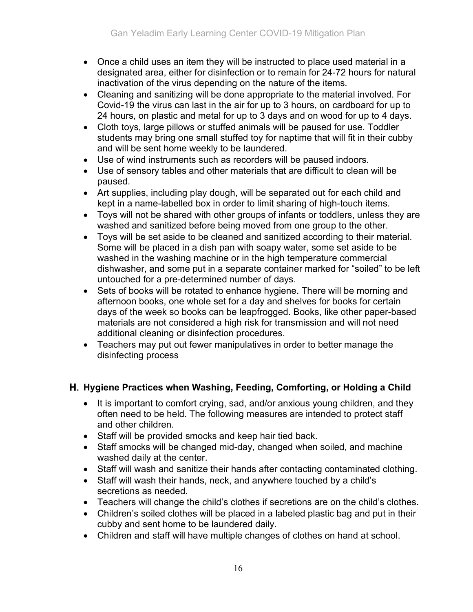- Once a child uses an item they will be instructed to place used material in a designated area, either for disinfection or to remain for 24-72 hours for natural inactivation of the virus depending on the nature of the items.
- Cleaning and sanitizing will be done appropriate to the material involved. For Covid-19 the virus can last in the air for up to 3 hours, on cardboard for up to 24 hours, on plastic and metal for up to 3 days and on wood for up to 4 days.
- Cloth toys, large pillows or stuffed animals will be paused for use. Toddler students may bring one small stuffed toy for naptime that will fit in their cubby and will be sent home weekly to be laundered.
- Use of wind instruments such as recorders will be paused indoors.
- Use of sensory tables and other materials that are difficult to clean will be paused.
- Art supplies, including play dough, will be separated out for each child and kept in a name-labelled box in order to limit sharing of high-touch items.
- Toys will not be shared with other groups of infants or toddlers, unless they are washed and sanitized before being moved from one group to the other.
- Toys will be set aside to be cleaned and sanitized according to their material. Some will be placed in a dish pan with soapy water, some set aside to be washed in the washing machine or in the high temperature commercial dishwasher, and some put in a separate container marked for "soiled" to be left untouched for a pre-determined number of days.
- Sets of books will be rotated to enhance hygiene. There will be morning and afternoon books, one whole set for a day and shelves for books for certain days of the week so books can be leapfrogged. Books, like other paper-based materials are not considered a high risk for transmission and will not need additional cleaning or disinfection procedures.
- Teachers may put out fewer manipulatives in order to better manage the disinfecting process

# H. Hygiene Practices when Washing, Feeding, Comforting, or Holding a Child

- It is important to comfort crying, sad, and/or anxious young children, and they often need to be held. The following measures are intended to protect staff and other children.
- Staff will be provided smocks and keep hair tied back.
- Staff smocks will be changed mid-day, changed when soiled, and machine washed daily at the center.
- Staff will wash and sanitize their hands after contacting contaminated clothing.
- Staff will wash their hands, neck, and anywhere touched by a child's secretions as needed.
- Teachers will change the child's clothes if secretions are on the child's clothes.
- Children's soiled clothes will be placed in a labeled plastic bag and put in their cubby and sent home to be laundered daily.
- Children and staff will have multiple changes of clothes on hand at school.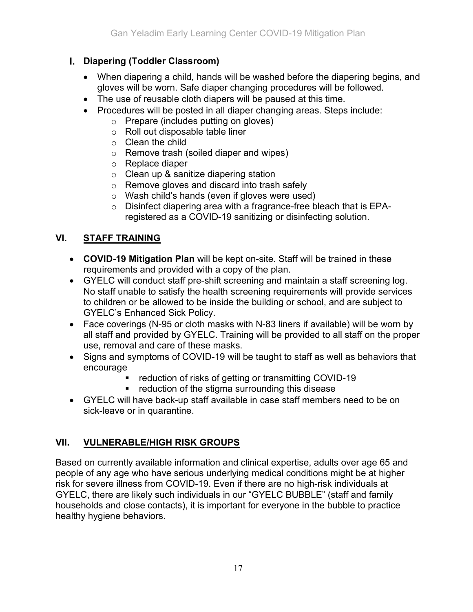# **I.** Diapering (Toddler Classroom)

- When diapering a child, hands will be washed before the diapering begins, and gloves will be worn. Safe diaper changing procedures will be followed.
- The use of reusable cloth diapers will be paused at this time.
- Procedures will be posted in all diaper changing areas. Steps include:
	- o Prepare (includes putting on gloves)
	- o Roll out disposable table liner
	- o Clean the child
	- o Remove trash (soiled diaper and wipes)
	- o Replace diaper
	- o Clean up & sanitize diapering station
	- o Remove gloves and discard into trash safely
	- o Wash child's hands (even if gloves were used)
	- o Disinfect diapering area with a fragrance-free bleach that is EPAregistered as a COVID-19 sanitizing or disinfecting solution.

# VI. STAFF TRAINING

- COVID-19 Mitigation Plan will be kept on-site. Staff will be trained in these requirements and provided with a copy of the plan.
- GYELC will conduct staff pre-shift screening and maintain a staff screening log. No staff unable to satisfy the health screening requirements will provide services to children or be allowed to be inside the building or school, and are subject to GYELC's Enhanced Sick Policy.
- Face coverings (N-95 or cloth masks with N-83 liners if available) will be worn by all staff and provided by GYELC. Training will be provided to all staff on the proper use, removal and care of these masks.
- Signs and symptoms of COVID-19 will be taught to staff as well as behaviors that encourage
	- **•** reduction of risks of getting or transmitting COVID-19
	- **•** reduction of the stigma surrounding this disease
- GYELC will have back-up staff available in case staff members need to be on sick-leave or in quarantine.

# VII. VULNERABLE/HIGH RISK GROUPS

Based on currently available information and clinical expertise, adults over age 65 and people of any age who have serious underlying medical conditions might be at higher risk for severe illness from COVID-19. Even if there are no high-risk individuals at GYELC, there are likely such individuals in our "GYELC BUBBLE" (staff and family households and close contacts), it is important for everyone in the bubble to practice healthy hygiene behaviors.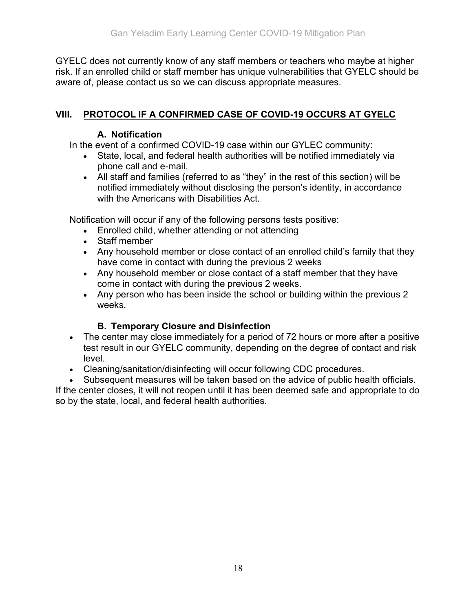GYELC does not currently know of any staff members or teachers who maybe at higher risk. If an enrolled child or staff member has unique vulnerabilities that GYELC should be aware of, please contact us so we can discuss appropriate measures.

# VIII. PROTOCOL IF A CONFIRMED CASE OF COVID-19 OCCURS AT GYELC

#### A. Notification

In the event of a confirmed COVID-19 case within our GYLEC community:

- State, local, and federal health authorities will be notified immediately via phone call and e-mail.
- All staff and families (referred to as "they" in the rest of this section) will be notified immediately without disclosing the person's identity, in accordance with the Americans with Disabilities Act.

Notification will occur if any of the following persons tests positive:

- Enrolled child, whether attending or not attending
- Staff member
- Any household member or close contact of an enrolled child's family that they have come in contact with during the previous 2 weeks
- Any household member or close contact of a staff member that they have come in contact with during the previous 2 weeks.
- Any person who has been inside the school or building within the previous 2 weeks.

## B. Temporary Closure and Disinfection

- The center may close immediately for a period of 72 hours or more after a positive test result in our GYELC community, depending on the degree of contact and risk level.
- Cleaning/sanitation/disinfecting will occur following CDC procedures.
- Subsequent measures will be taken based on the advice of public health officials.

If the center closes, it will not reopen until it has been deemed safe and appropriate to do so by the state, local, and federal health authorities.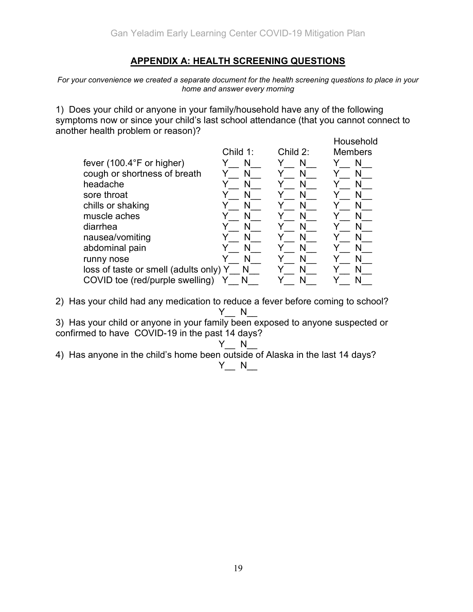#### APPENDIX A: HEALTH SCREENING QUESTIONS

For your convenience we created a separate document for the health screening questions to place in your home and answer every morning

1) Does your child or anyone in your family/household have any of the following symptoms now or since your child's last school attendance (that you cannot connect to another health problem or reason)?

|                                        |          |          | Household      |
|----------------------------------------|----------|----------|----------------|
|                                        | Child 1: | Child 2: | <b>Members</b> |
| fever $(100.4^{\circ}F$ or higher)     | N        | N        | N              |
| cough or shortness of breath           | N        | N        | N              |
| headache                               | N        |          | N              |
| sore throat                            |          | Ν        |                |
| chills or shaking                      | N        | N        | N              |
| muscle aches                           |          |          |                |
| diarrhea                               |          |          | N              |
| nausea/vomiting                        | N        | N        | N              |
| abdominal pain                         |          |          |                |
| runny nose                             |          |          | N              |
| loss of taste or smell (adults only) Y | N        | N        |                |
| COVID toe (red/purple swelling)        |          |          |                |

2) Has your child had any medication to reduce a fever before coming to school?  $Y$  N

3) Has your child or anyone in your family been exposed to anyone suspected or confirmed to have COVID-19 in the past 14 days?

 $Y$  N 4) Has anyone in the child's home been outside of Alaska in the last 14 days?

#### $Y$  N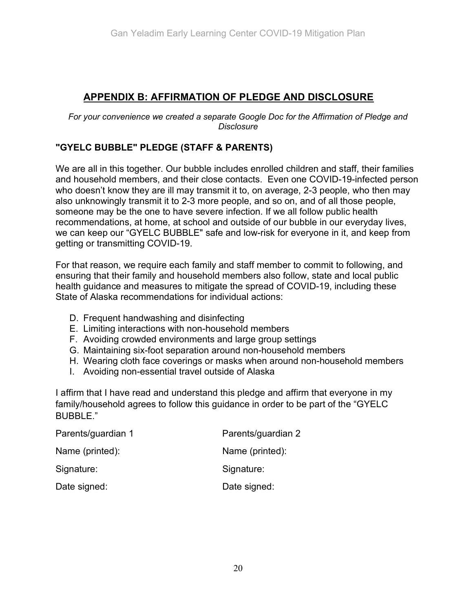# APPENDIX B: AFFIRMATION OF PLEDGE AND DISCLOSURE

For your convenience we created a separate Google Doc for the Affirmation of Pledge and **Disclosure** 

#### "GYELC BUBBLE" PLEDGE (STAFF & PARENTS)

We are all in this together. Our bubble includes enrolled children and staff, their families and household members, and their close contacts. Even one COVID-19-infected person who doesn't know they are ill may transmit it to, on average, 2-3 people, who then may also unknowingly transmit it to 2-3 more people, and so on, and of all those people, someone may be the one to have severe infection. If we all follow public health recommendations, at home, at school and outside of our bubble in our everyday lives, we can keep our "GYELC BUBBLE" safe and low-risk for everyone in it, and keep from getting or transmitting COVID-19.

For that reason, we require each family and staff member to commit to following, and ensuring that their family and household members also follow, state and local public health guidance and measures to mitigate the spread of COVID-19, including these State of Alaska recommendations for individual actions:

- D. Frequent handwashing and disinfecting
- E. Limiting interactions with non-household members
- F. Avoiding crowded environments and large group settings
- G. Maintaining six-foot separation around non-household members
- H. Wearing cloth face coverings or masks when around non-household members
- I. Avoiding non-essential travel outside of Alaska

I affirm that I have read and understand this pledge and affirm that everyone in my family/household agrees to follow this guidance in order to be part of the "GYELC BUBBLE."

| Parents/guardian 1 | Parents/guardian 2 |  |
|--------------------|--------------------|--|
| Name (printed):    | Name (printed):    |  |
| Signature:         | Signature:         |  |
| Date signed:       | Date signed:       |  |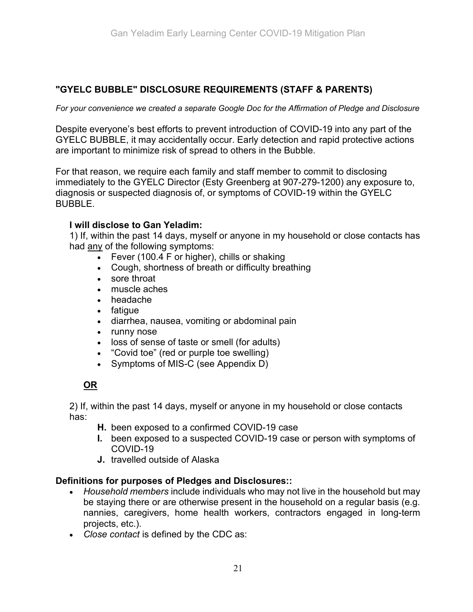## "GYELC BUBBLE" DISCLOSURE REQUIREMENTS (STAFF & PARENTS)

For your convenience we created a separate Google Doc for the Affirmation of Pledge and Disclosure

Despite everyone's best efforts to prevent introduction of COVID-19 into any part of the GYELC BUBBLE, it may accidentally occur. Early detection and rapid protective actions are important to minimize risk of spread to others in the Bubble.

For that reason, we require each family and staff member to commit to disclosing immediately to the GYELC Director (Esty Greenberg at 907-279-1200) any exposure to, diagnosis or suspected diagnosis of, or symptoms of COVID-19 within the GYELC BUBBLE.

#### I will disclose to Gan Yeladim:

1) If, within the past 14 days, myself or anyone in my household or close contacts has had any of the following symptoms:

- Fever (100.4 F or higher), chills or shaking
- Cough, shortness of breath or difficulty breathing
- sore throat
- muscle aches
- headache
- fatigue
- diarrhea, nausea, vomiting or abdominal pain
- runny nose
- loss of sense of taste or smell (for adults)
- "Covid toe" (red or purple toe swelling)
- Symptoms of MIS-C (see Appendix D)

## OR

2) If, within the past 14 days, myself or anyone in my household or close contacts has:

- H. been exposed to a confirmed COVID-19 case
- I. been exposed to a suspected COVID-19 case or person with symptoms of COVID-19
- J. travelled outside of Alaska

#### Definitions for purposes of Pledges and Disclosures::

- Household members include individuals who may not live in the household but may be staying there or are otherwise present in the household on a regular basis (e.g. nannies, caregivers, home health workers, contractors engaged in long-term projects, etc.).
- Close contact is defined by the CDC as: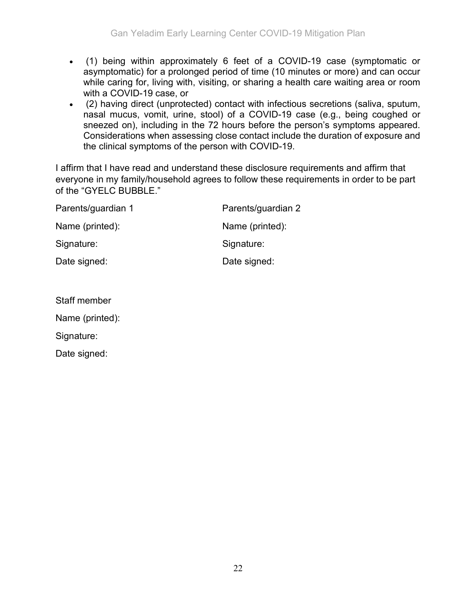- (1) being within approximately 6 feet of a COVID-19 case (symptomatic or asymptomatic) for a prolonged period of time (10 minutes or more) and can occur while caring for, living with, visiting, or sharing a health care waiting area or room with a COVID-19 case, or
- (2) having direct (unprotected) contact with infectious secretions (saliva, sputum, nasal mucus, vomit, urine, stool) of a COVID-19 case (e.g., being coughed or sneezed on), including in the 72 hours before the person's symptoms appeared. Considerations when assessing close contact include the duration of exposure and the clinical symptoms of the person with COVID-19.

I affirm that I have read and understand these disclosure requirements and affirm that everyone in my family/household agrees to follow these requirements in order to be part of the "GYELC BUBBLE."

| Parents/guardian 1 | Parents/guardian 2 |  |
|--------------------|--------------------|--|
| Name (printed):    | Name (printed):    |  |
| Signature:         | Signature:         |  |
| Date signed:       | Date signed:       |  |

| Staff member    |  |  |
|-----------------|--|--|
| Name (printed): |  |  |
| Signature:      |  |  |
| Date signed:    |  |  |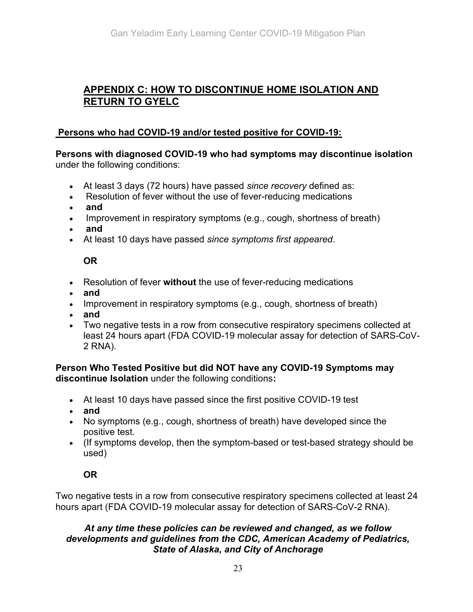# APPENDIX C: HOW TO DISCONTINUE HOME ISOLATION AND RETURN TO GYELC

#### Persons who had COVID-19 and/or tested positive for COVID-19:

Persons with diagnosed COVID-19 who had symptoms may discontinue isolation under the following conditions:

- At least 3 days (72 hours) have passed since recovery defined as:
- Resolution of fever without the use of fever-reducing medications
- and
- Improvement in respiratory symptoms (e.g., cough, shortness of breath)
- and
- At least 10 days have passed since symptoms first appeared.

#### OR

- Resolution of fever without the use of fever-reducing medications
- and
- Improvement in respiratory symptoms (e.g., cough, shortness of breath)
- and
- Two negative tests in a row from consecutive respiratory specimens collected at least 24 hours apart (FDA COVID-19 molecular assay for detection of SARS-CoV-2 RNA).

Person Who Tested Positive but did NOT have any COVID-19 Symptoms may discontinue Isolation under the following conditions:

- At least 10 days have passed since the first positive COVID-19 test
- and
- No symptoms (e.g., cough, shortness of breath) have developed since the positive test.
- (If symptoms develop, then the symptom-based or test-based strategy should be used)

## OR

Two negative tests in a row from consecutive respiratory specimens collected at least 24 hours apart (FDA COVID-19 molecular assay for detection of SARS-CoV-2 RNA).

#### At any time these policies can be reviewed and changed, as we follow developments and guidelines from the CDC, American Academy of Pediatrics, State of Alaska, and City of Anchorage